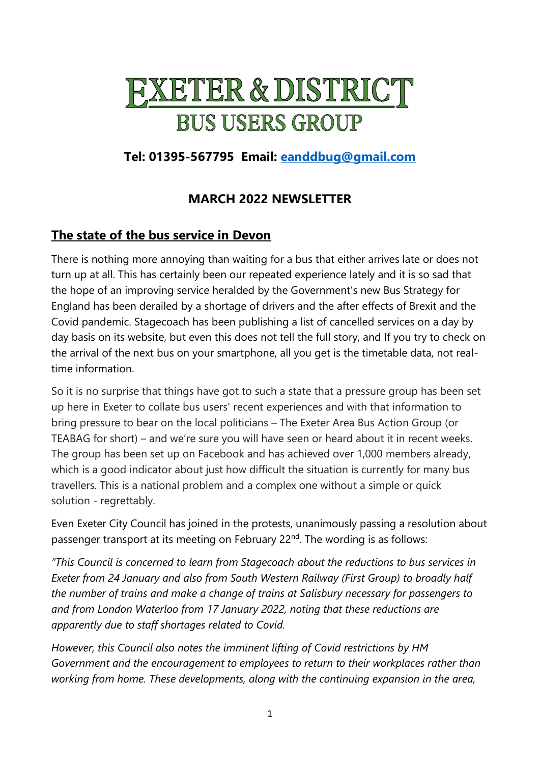# **FXETER & DISTRICT BUS USERS GROUP**

# **Tel: 01395-567795 Email: [eanddbug@gmail.com](mailto:eanddbug@gmail.com)**

# **MARCH 2022 NEWSLETTER**

## **The state of the bus service in Devon**

There is nothing more annoying than waiting for a bus that either arrives late or does not turn up at all. This has certainly been our repeated experience lately and it is so sad that the hope of an improving service heralded by the Government's new Bus Strategy for England has been derailed by a shortage of drivers and the after effects of Brexit and the Covid pandemic. Stagecoach has been publishing a list of cancelled services on a day by day basis on its website, but even this does not tell the full story, and If you try to check on the arrival of the next bus on your smartphone, all you get is the timetable data, not realtime information.

So it is no surprise that things have got to such a state that a pressure group has been set up here in Exeter to collate bus users' recent experiences and with that information to bring pressure to bear on the local politicians – The Exeter Area Bus Action Group (or TEABAG for short) – and we're sure you will have seen or heard about it in recent weeks. The group has been set up on Facebook and has achieved over 1,000 members already, which is a good indicator about just how difficult the situation is currently for many bus travellers. This is a national problem and a complex one without a simple or quick solution - regrettably.

Even Exeter City Council has joined in the protests, unanimously passing a resolution about passenger transport at its meeting on February 22<sup>nd</sup>. The wording is as follows:

*"This Council is concerned to learn from Stagecoach about the reductions to bus services in Exeter from 24 January and also from South Western Railway (First Group) to broadly half the number of trains and make a change of trains at Salisbury necessary for passengers to and from London Waterloo from 17 January 2022, noting that these reductions are apparently due to staff shortages related to Covid.*

*However, this Council also notes the imminent lifting of Covid restrictions by HM Government and the encouragement to employees to return to their workplaces rather than working from home. These developments, along with the continuing expansion in the area,*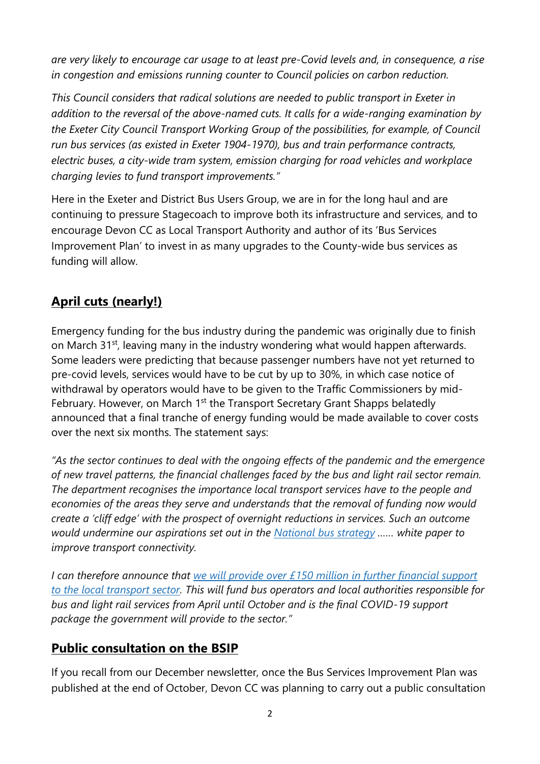*are very likely to encourage car usage to at least pre-Covid levels and, in consequence, a rise in congestion and emissions running counter to Council policies on carbon reduction.*

*This Council considers that radical solutions are needed to public transport in Exeter in addition to the reversal of the above-named cuts. It calls for a wide-ranging examination by the Exeter City Council Transport Working Group of the possibilities, for example, of Council run bus services (as existed in Exeter 1904-1970), bus and train performance contracts, electric buses, a city-wide tram system, emission charging for road vehicles and workplace charging levies to fund transport improvements."* 

Here in the Exeter and District Bus Users Group, we are in for the long haul and are continuing to pressure Stagecoach to improve both its infrastructure and services, and to encourage Devon CC as Local Transport Authority and author of its 'Bus Services Improvement Plan' to invest in as many upgrades to the County-wide bus services as funding will allow.

# **April cuts (nearly!)**

Emergency funding for the bus industry during the pandemic was originally due to finish on March 31<sup>st</sup>, leaving many in the industry wondering what would happen afterwards. Some leaders were predicting that because passenger numbers have not yet returned to pre-covid levels, services would have to be cut by up to 30%, in which case notice of withdrawal by operators would have to be given to the Traffic Commissioners by mid-February. However, on March 1<sup>st</sup> the Transport Secretary Grant Shapps belatedly announced that a final tranche of energy funding would be made available to cover costs over the next six months. The statement says:

*"As the sector continues to deal with the ongoing effects of the pandemic and the emergence of new travel patterns, the financial challenges faced by the bus and light rail sector remain. The department recognises the importance local transport services have to the people and economies of the areas they serve and understands that the removal of funding now would create a 'cliff edge' with the prospect of overnight reductions in services. Such an outcome would undermine our aspirations set out in the [National bus strategy](https://www.gov.uk/government/publications/bus-back-better) …… white paper to improve transport connectivity.*

*I can therefore announce that [we will provide over £150 million in further financial support](https://www.gov.uk/government/news/over-150-million-provided-to-safeguard-local-transport-services-as-the-country-emerges-from-the-pandemic)  [to the local transport sector.](https://www.gov.uk/government/news/over-150-million-provided-to-safeguard-local-transport-services-as-the-country-emerges-from-the-pandemic) This will fund bus operators and local authorities responsible for bus and light rail services from April until October and is the final COVID-19 support package the government will provide to the sector."*

## **Public consultation on the BSIP**

If you recall from our December newsletter, once the Bus Services Improvement Plan was published at the end of October, Devon CC was planning to carry out a public consultation